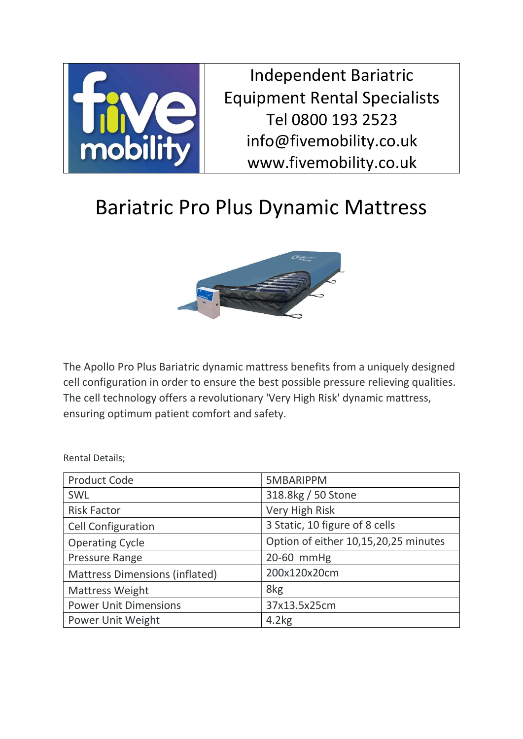

Independent Bariatric Equipment Rental Specialists Tel 0800 193 2523 info@fivemobility.co.uk www.fivemobility.co.uk

## Bariatric Pro Plus Dynamic Mattress



The Apollo Pro Plus Bariatric dynamic mattress benefits from a uniquely designed cell configuration in order to ensure the best possible pressure relieving qualities. The cell technology offers a revolutionary 'Very High Risk' dynamic mattress, ensuring optimum patient comfort and safety.

Rental Details;

| <b>Product Code</b>                   | 5MBARIPPM                            |
|---------------------------------------|--------------------------------------|
| SWL                                   | 318.8kg / 50 Stone                   |
| <b>Risk Factor</b>                    | Very High Risk                       |
| <b>Cell Configuration</b>             | 3 Static, 10 figure of 8 cells       |
| <b>Operating Cycle</b>                | Option of either 10,15,20,25 minutes |
| Pressure Range                        | 20-60 mmHg                           |
| <b>Mattress Dimensions (inflated)</b> | 200x120x20cm                         |
| <b>Mattress Weight</b>                | 8kg                                  |
| <b>Power Unit Dimensions</b>          | 37x13.5x25cm                         |
| Power Unit Weight                     | 4.2kg                                |